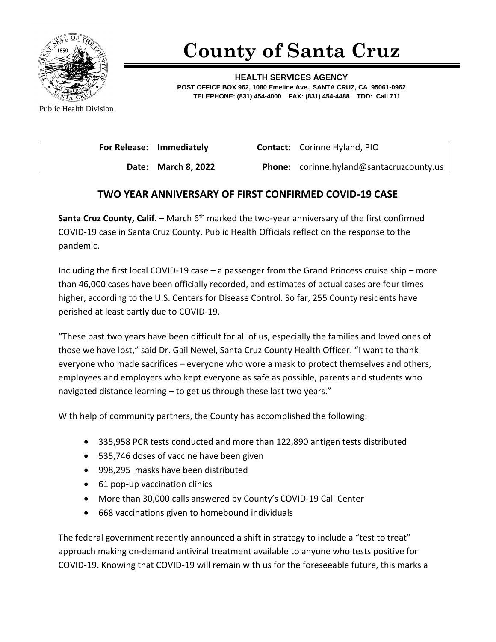

## **County of Santa Cruz**

**HEALTH SERVICES AGENCY POST OFFICE BOX 962, 1080 Emeline Ave., SANTA CRUZ, CA 95061-0962 TELEPHONE: (831) 454-4000 FAX: (831) 454-4488 TDD: Call 711**

Public Health Division

| For Release: Immediately | <b>Contact:</b> Corinne Hyland, PIO             |
|--------------------------|-------------------------------------------------|
| Date: March 8, 2022      | <b>Phone:</b> corinne.hyland@santacruzcounty.us |

## **TWO YEAR ANNIVERSARY OF FIRST CONFIRMED COVID-19 CASE**

**Santa Cruz County, Calif.** – March 6<sup>th</sup> marked the two-year anniversary of the first confirmed COVID-19 case in Santa Cruz County. Public Health Officials reflect on the response to the pandemic.

Including the first local COVID-19 case – a passenger from the Grand Princess cruise ship – more than 46,000 cases have been officially recorded, and estimates of actual cases are four times higher, according to the U.S. Centers for Disease Control. So far, 255 County residents have perished at least partly due to COVID-19.

"These past two years have been difficult for all of us, especially the families and loved ones of those we have lost," said Dr. Gail Newel, Santa Cruz County Health Officer. "I want to thank everyone who made sacrifices – everyone who wore a mask to protect themselves and others, employees and employers who kept everyone as safe as possible, parents and students who navigated distance learning – to get us through these last two years."

With help of community partners, the County has accomplished the following:

- 335,958 PCR tests conducted and more than 122,890 antigen tests distributed
- 535,746 doses of vaccine have been given
- 998,295 masks have been distributed
- 61 pop-up vaccination clinics
- More than 30,000 calls answered by County's COVID-19 Call Center
- 668 vaccinations given to homebound individuals

The federal government recently announced a shift in strategy to include a "test to treat" approach making on-demand antiviral treatment available to anyone who tests positive for COVID-19. Knowing that COVID-19 will remain with us for the foreseeable future, this marks a